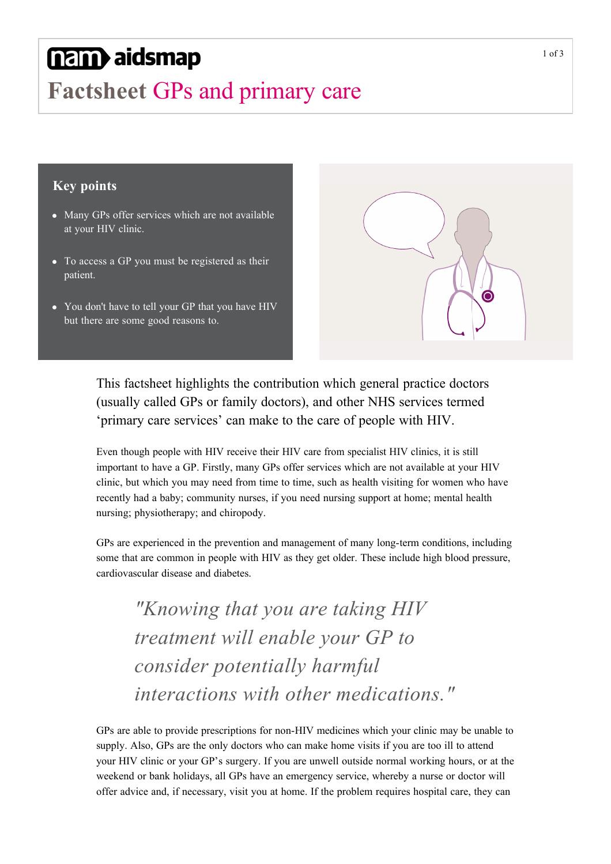# nam aidsmap

## **Factsheet** GPs and primary care

#### **Key points**

- Many GPs offer services which are not available at your HIV clinic.
- To access a GP you must be registered as their patient.
- You don't have to tell your GP that you have HIV but there are some good reasons to.



This factsheet highlights the contribution which general practice doctors (usually called GPs or family doctors), and other NHS services termed 'primary care services' can make to the care of people with HIV.

Even though people with HIV receive their HIV care from specialist HIV clinics, it is still important to have a GP. Firstly, many GPs offer services which are not available at your HIV clinic, but which you may need from time to time, such as health visiting for women who have recently had a baby; community nurses, if you need nursing support at home; mental health nursing; physiotherapy; and chiropody.

GPs are experienced in the prevention and management of many long-term conditions, including some that are common in people with HIV as they get older. These include high blood pressure, cardiovascular disease and diabetes.

*"Knowing that you are taking HIV treatment will enable your GP to consider potentially harmful interactions with other medications."*

GPs are able to provide prescriptions for non-HIV medicines which your clinic may be unable to supply. Also, GPs are the only doctors who can make home visits if you are too ill to attend your HIV clinic or your GP's surgery. If you are unwell outside normal working hours, or at the weekend or bank holidays, all GPs have an emergency service, whereby a nurse or doctor will offer advice and, if necessary, visit you at home. If the problem requires hospital care, they can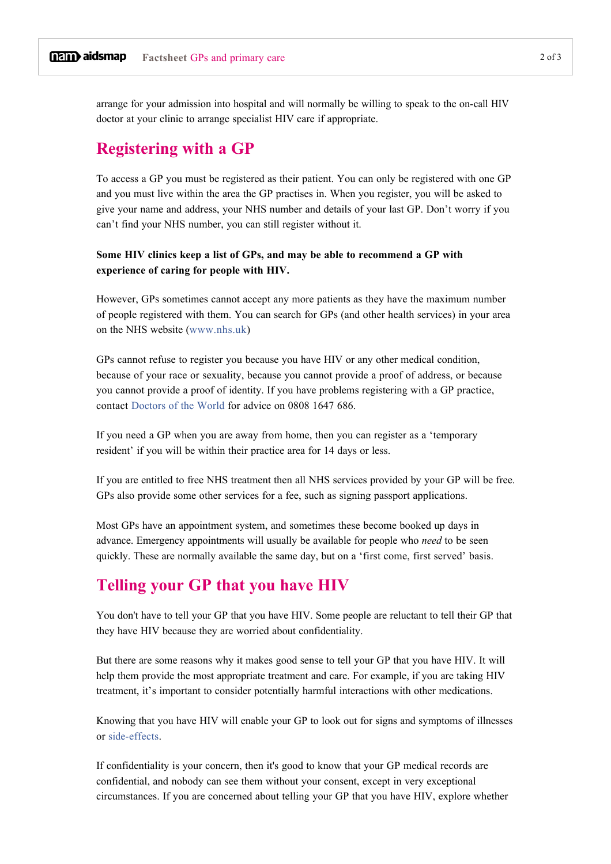arrange for your admission into hospital and will normally be willing to speak to the on-call HIV doctor at your clinic to arrange specialist HIV care if appropriate.

## **Registering with a GP**

To access a GP you must be registered as their patient. You can only be registered with one GP and you must live within the area the GP practises in. When you register, you will be asked to give your name and address, your NHS number and details of your last GP. Don't worry if you can't find your NHS number, you can still register without it.

**Some HIV clinics keep a list of GPs, and may be able to recommend a GP with experience of caring for people with HIV.** 

However, GPs sometimes cannot accept any more patients as they have the maximum number of people registered with them. You can search for GPs (and other health services) in your area on the NHS website ([www.nhs.uk](http://www.nhs.uk/))

GPs cannot refuse to register you because you have HIV or any other medical condition, because of your race or sexuality, because you cannot provide a proof of address, or because you cannot provide a proof of identity. If you have problems registering with a GP practice, contact [Doctors of the World](https://www.doctorsoftheworld.org.uk/call-our-advice-line) for advice on 0808 1647 686.

If you need a GP when you are away from home, then you can register as a 'temporary resident' if you will be within their practice area for 14 days or less.

If you are entitled to free NHS treatment then all NHS services provided by your GP will be free. GPs also provide some other services for a fee, such as signing passport applications.

Most GPs have an appointment system, and sometimes these become booked up days in advance. Emergency appointments will usually be available for people who *need* to be seen quickly. These are normally available the same day, but on a 'first come, first served' basis.

## **Telling your GP that you have HIV**

You don't have to tell your GP that you have HIV. Some people are reluctant to tell their GP that they have HIV because they are worried about confidentiality.

But there are some reasons why it makes good sense to tell your GP that you have HIV. It will help them provide the most appropriate treatment and care. For example, if you are taking HIV treatment, it's important to consider potentially harmful interactions with other medications.

Knowing that you have HIV will enable your GP to look out for signs and symptoms of illnesses or side-effects.

If confidentiality is your concern, then it's good to know that your GP medical records are confidential, and nobody can see them without your consent, except in very exceptional circumstances. If you are concerned about telling your GP that you have HIV, explore whether